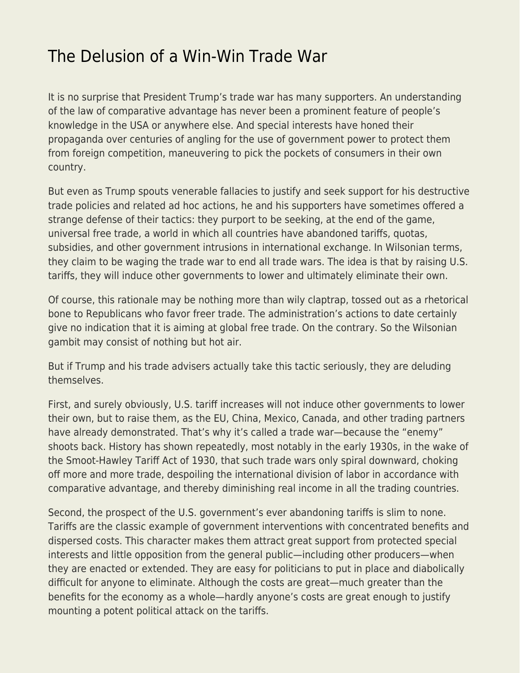## [The Delusion of a Win-Win Trade War](https://everything-voluntary.com/the-delusion-of-a-win-win-trade-war)

It is no surprise that President Trump's trade war has many supporters. An understanding of the law of comparative advantage has never been a prominent feature of people's knowledge in the USA or anywhere else. And special interests have honed their propaganda over centuries of angling for the use of government power to protect them from foreign competition, maneuvering to pick the pockets of consumers in their own country.

But even as Trump spouts venerable fallacies to justify and seek support for his destructive trade policies and related ad hoc actions, he and his supporters have sometimes offered a strange defense of their tactics: they purport to be seeking, at the end of the game, universal free trade, a world in which all countries have abandoned tariffs, quotas, subsidies, and other government intrusions in international exchange. In Wilsonian terms, they claim to be waging the trade war to end all trade wars. The idea is that by raising U.S. tariffs, they will induce other governments to lower and ultimately eliminate their own.

Of course, this rationale may be nothing more than wily claptrap, tossed out as a rhetorical bone to Republicans who favor freer trade. The administration's actions to date certainly give no indication that it is aiming at global free trade. On the contrary. So the Wilsonian gambit may consist of nothing but hot air.

But if Trump and his trade advisers actually take this tactic seriously, they are deluding themselves.

First, and surely obviously, U.S. tariff increases will not induce other governments to lower their own, but to raise them, as the EU, China, Mexico, Canada, and other trading partners have already demonstrated. That's why it's called a trade war—because the "enemy" shoots back. History has shown repeatedly, most notably in the early 1930s, in the wake of the Smoot-Hawley Tariff Act of 1930, that such trade wars only spiral downward, choking off more and more trade, despoiling the international division of labor in accordance with comparative advantage, and thereby diminishing real income in all the trading countries.

Second, the prospect of the U.S. government's ever abandoning tariffs is slim to none. Tariffs are the classic example of government interventions with concentrated benefits and dispersed costs. This character makes them attract great support from protected special interests and little opposition from the general public—including other producers—when they are enacted or extended. They are easy for politicians to put in place and diabolically difficult for anyone to eliminate. Although the costs are great—much greater than the benefits for the economy as a whole—hardly anyone's costs are great enough to justify mounting a potent political attack on the tariffs.